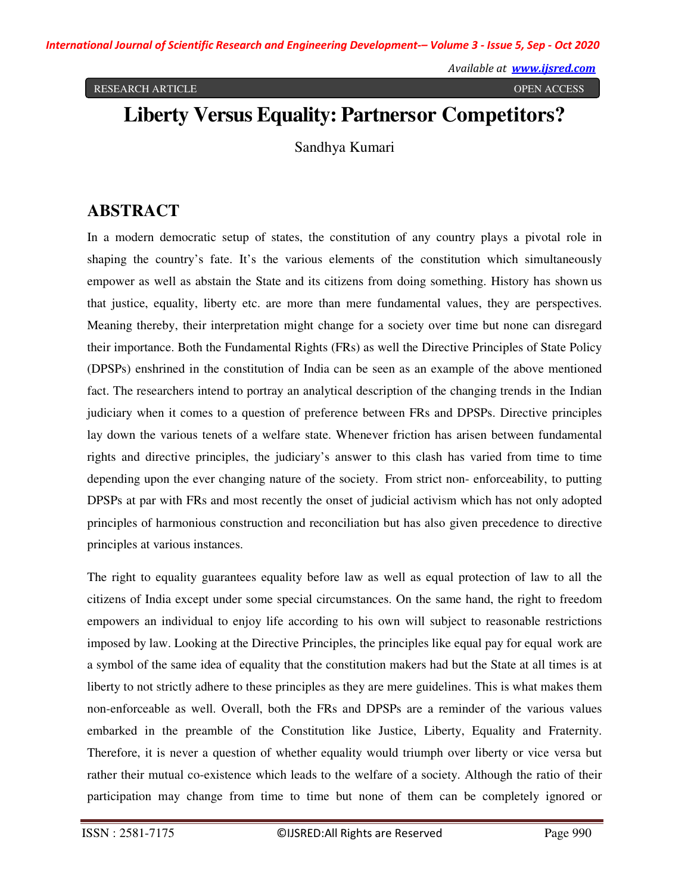RESEARCH ARTICLE OPEN ACCESS

# **Liberty Versus Equality: Partners or Competitors?**

Sandhya Kumari

# **ABSTRACT**

In a modern democratic setup of states, the constitution of any country plays a pivotal role in shaping the country's fate. It's the various elements of the constitution which simultaneously empower as well as abstain the State and its citizens from doing something. History has shown us that justice, equality, liberty etc. are more than mere fundamental values, they are perspectives. Meaning thereby, their interpretation might change for a society over time but none can disregard their importance. Both the Fundamental Rights (FRs) as well the Directive Principles of State Policy (DPSPs) enshrined in the constitution of India can be seen as an example of the above mentioned fact. The researchers intend to portray an analytical description of the changing trends in the Indian judiciary when it comes to a question of preference between FRs and DPSPs. Directive principles lay down the various tenets of a welfare state. Whenever friction has arisen between fundamental rights and directive principles, the judiciary's answer to this clash has varied from time to time depending upon the ever changing nature of the society. From strict non- enforceability, to putting DPSPs at par with FRs and most recently the onset of judicial activism which has not only adopted principles of harmonious construction and reconciliation but has also given precedence to directive principles at various instances.

The right to equality guarantees equality before law as well as equal protection of law to all the citizens of India except under some special circumstances. On the same hand, the right to freedom empowers an individual to enjoy life according to his own will subject to reasonable restrictions imposed by law. Looking at the Directive Principles, the principles like equal pay for equal work are a symbol of the same idea of equality that the constitution makers had but the State at all times is at liberty to not strictly adhere to these principles as they are mere guidelines. This is what makes them non-enforceable as well. Overall, both the FRs and DPSPs are a reminder of the various values embarked in the preamble of the Constitution like Justice, Liberty, Equality and Fraternity. Therefore, it is never a question of whether equality would triumph over liberty or vice versa but rather their mutual co-existence which leads to the welfare of a society. Although the ratio of their participation may change from time to time but none of them can be completely ignored or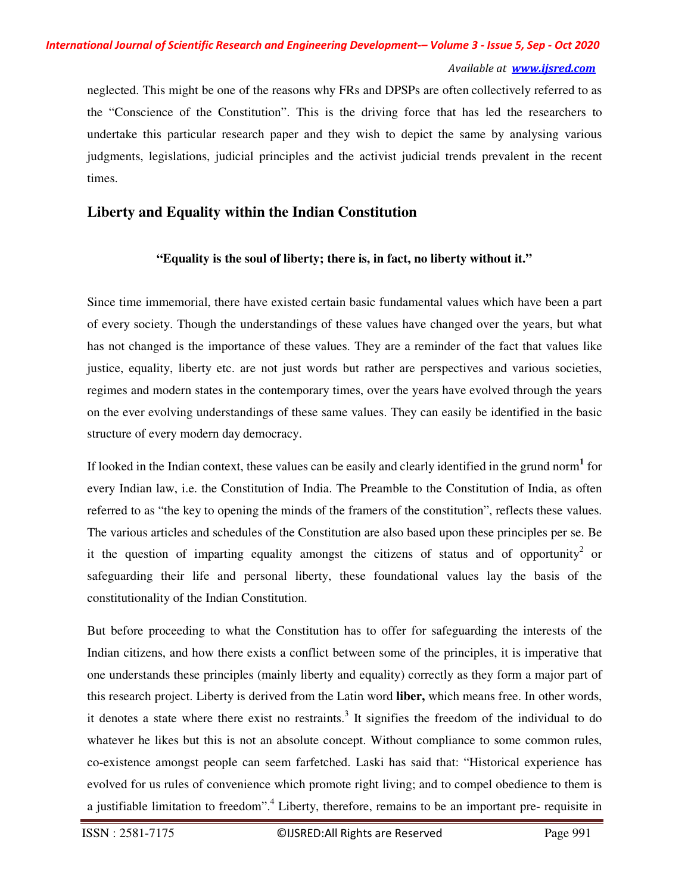# *International Journal of Scientific Research and Engineering Development-– Volume 3 - Issue 5, Sep - Oct 2020*

#### *Available at www.ijsred.com*

neglected. This might be one of the reasons why FRs and DPSPs are often collectively referred to as the "Conscience of the Constitution". This is the driving force that has led the researchers to undertake this particular research paper and they wish to depict the same by analysing various judgments, legislations, judicial principles and the activist judicial trends prevalent in the recent times.

### **Liberty and Equality within the Indian Constitution**

#### **"Equality is the soul of liberty; there is, in fact, no liberty without it."**

Since time immemorial, there have existed certain basic fundamental values which have been a part of every society. Though the understandings of these values have changed over the years, but what has not changed is the importance of these values. They are a reminder of the fact that values like justice, equality, liberty etc. are not just words but rather are perspectives and various societies, regimes and modern states in the contemporary times, over the years have evolved through the years on the ever evolving understandings of these same values. They can easily be identified in the basic structure of every modern day democracy.

If looked in the Indian context, these values can be easily and clearly identified in the grund norm**<sup>1</sup>** for every Indian law, i.e. the Constitution of India. The Preamble to the Constitution of India, as often referred to as "the key to opening the minds of the framers of the constitution", reflects these values. The various articles and schedules of the Constitution are also based upon these principles per se. Be it the question of imparting equality amongst the citizens of status and of opportunity<sup>2</sup> or safeguarding their life and personal liberty, these foundational values lay the basis of the constitutionality of the Indian Constitution.

But before proceeding to what the Constitution has to offer for safeguarding the interests of the Indian citizens, and how there exists a conflict between some of the principles, it is imperative that one understands these principles (mainly liberty and equality) correctly as they form a major part of this research project. Liberty is derived from the Latin word **liber,** which means free. In other words, it denotes a state where there exist no restraints.<sup>3</sup> It signifies the freedom of the individual to do whatever he likes but this is not an absolute concept. Without compliance to some common rules, co-existence amongst people can seem farfetched. Laski has said that: "Historical experience has evolved for us rules of convenience which promote right living; and to compel obedience to them is a justifiable limitation to freedom".<sup>4</sup> Liberty, therefore, remains to be an important pre- requisite in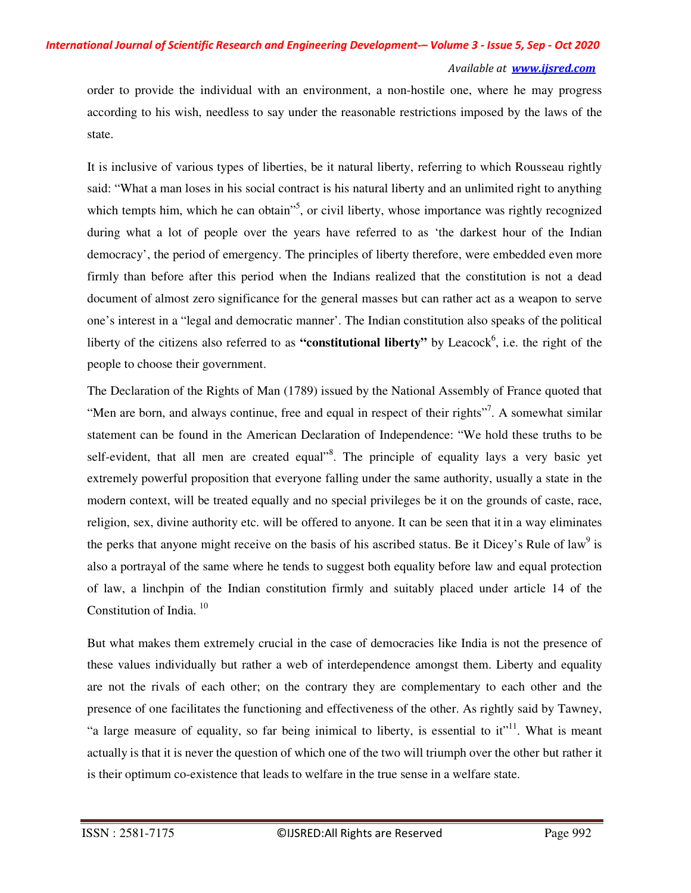order to provide the individual with an environment, a non-hostile one, where he may progress according to his wish, needless to say under the reasonable restrictions imposed by the laws of the state.

It is inclusive of various types of liberties, be it natural liberty, referring to which Rousseau rightly said: "What a man loses in his social contract is his natural liberty and an unlimited right to anything which tempts him, which he can obtain<sup>15</sup>, or civil liberty, whose importance was rightly recognized during what a lot of people over the years have referred to as 'the darkest hour of the Indian democracy', the period of emergency. The principles of liberty therefore, were embedded even more firmly than before after this period when the Indians realized that the constitution is not a dead document of almost zero significance for the general masses but can rather act as a weapon to serve one's interest in a "legal and democratic manner'. The Indian constitution also speaks of the political liberty of the citizens also referred to as "constitutional liberty" by Leacock<sup>6</sup>, i.e. the right of the people to choose their government.

The Declaration of the Rights of Man (1789) issued by the National Assembly of France quoted that "Men are born, and always continue, free and equal in respect of their rights"<sup>7</sup>. A somewhat similar statement can be found in the American Declaration of Independence: "We hold these truths to be self-evident, that all men are created equal<sup>38</sup>. The principle of equality lays a very basic yet extremely powerful proposition that everyone falling under the same authority, usually a state in the modern context, will be treated equally and no special privileges be it on the grounds of caste, race, religion, sex, divine authority etc. will be offered to anyone. It can be seen that it in a way eliminates the perks that anyone might receive on the basis of his ascribed status. Be it Dicey's Rule of law<sup>9</sup> is also a portrayal of the same where he tends to suggest both equality before law and equal protection of law, a linchpin of the Indian constitution firmly and suitably placed under article 14 of the Constitution of India.<sup>10</sup>

But what makes them extremely crucial in the case of democracies like India is not the presence of these values individually but rather a web of interdependence amongst them. Liberty and equality are not the rivals of each other; on the contrary they are complementary to each other and the presence of one facilitates the functioning and effectiveness of the other. As rightly said by Tawney, "a large measure of equality, so far being inimical to liberty, is essential to  $it$ <sup>11</sup>. What is meant actually is that it is never the question of which one of the two will triumph over the other but rather it is their optimum co-existence that leads to welfare in the true sense in a welfare state.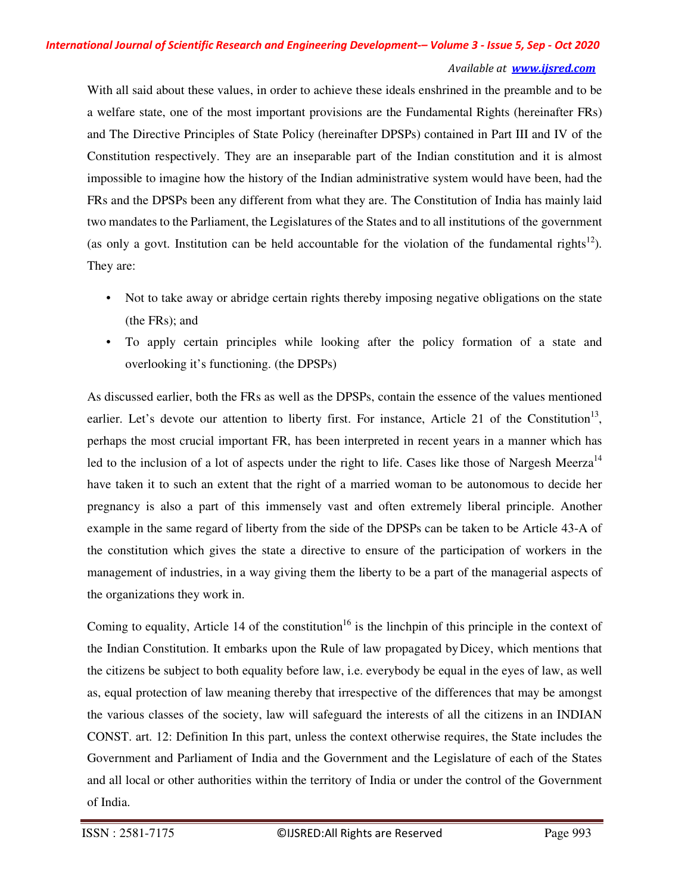With all said about these values, in order to achieve these ideals enshrined in the preamble and to be a welfare state, one of the most important provisions are the Fundamental Rights (hereinafter FRs) and The Directive Principles of State Policy (hereinafter DPSPs) contained in Part III and IV of the Constitution respectively. They are an inseparable part of the Indian constitution and it is almost impossible to imagine how the history of the Indian administrative system would have been, had the FRs and the DPSPs been any different from what they are. The Constitution of India has mainly laid two mandates to the Parliament, the Legislatures of the States and to all institutions of the government (as only a govt. Institution can be held accountable for the violation of the fundamental rights<sup>12</sup>). They are:

- Not to take away or abridge certain rights thereby imposing negative obligations on the state (the FRs); and
- To apply certain principles while looking after the policy formation of a state and overlooking it's functioning. (the DPSPs)

As discussed earlier, both the FRs as well as the DPSPs, contain the essence of the values mentioned earlier. Let's devote our attention to liberty first. For instance, Article 21 of the Constitution<sup>13</sup>, perhaps the most crucial important FR, has been interpreted in recent years in a manner which has led to the inclusion of a lot of aspects under the right to life. Cases like those of Nargesh Meerza<sup>14</sup> have taken it to such an extent that the right of a married woman to be autonomous to decide her pregnancy is also a part of this immensely vast and often extremely liberal principle. Another example in the same regard of liberty from the side of the DPSPs can be taken to be Article 43-A of the constitution which gives the state a directive to ensure of the participation of workers in the management of industries, in a way giving them the liberty to be a part of the managerial aspects of the organizations they work in.

Coming to equality, Article 14 of the constitution<sup>16</sup> is the linchpin of this principle in the context of the Indian Constitution. It embarks upon the Rule of law propagated by Dicey, which mentions that the citizens be subject to both equality before law, i.e. everybody be equal in the eyes of law, as well as, equal protection of law meaning thereby that irrespective of the differences that may be amongst the various classes of the society, law will safeguard the interests of all the citizens in an INDIAN CONST. art. 12: Definition In this part, unless the context otherwise requires, the State includes the Government and Parliament of India and the Government and the Legislature of each of the States and all local or other authorities within the territory of India or under the control of the Government of India.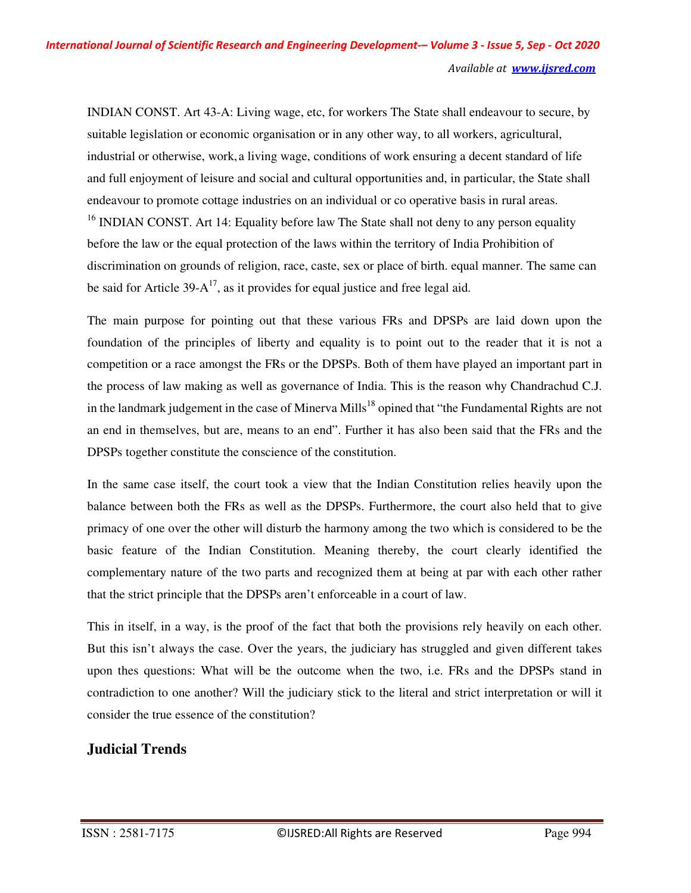INDIAN CONST. Art 43-A: Living wage, etc, for workers The State shall endeavour to secure, by suitable legislation or economic organisation or in any other way, to all workers, agricultural, industrial or otherwise, work, a living wage, conditions of work ensuring a decent standard of life and full enjoyment of leisure and social and cultural opportunities and, in particular, the State shall endeavour to promote cottage industries on an individual or co operative basis in rural areas. <sup>16</sup> INDIAN CONST. Art 14: Equality before law The State shall not deny to any person equality before the law or the equal protection of the laws within the territory of India Prohibition of discrimination on grounds of religion, race, caste, sex or place of birth. equal manner. The same can be said for Article  $39-A^{17}$ , as it provides for equal justice and free legal aid.

The main purpose for pointing out that these various FRs and DPSPs are laid down upon the foundation of the principles of liberty and equality is to point out to the reader that it is not a competition or a race amongst the FRs or the DPSPs. Both of them have played an important part in the process of law making as well as governance of India. This is the reason why Chandrachud C.J. in the landmark judgement in the case of Minerva Mills<sup>18</sup> opined that "the Fundamental Rights are not an end in themselves, but are, means to an end". Further it has also been said that the FRs and the DPSPs together constitute the conscience of the constitution.

In the same case itself, the court took a view that the Indian Constitution relies heavily upon the balance between both the FRs as well as the DPSPs. Furthermore, the court also held that to give primacy of one over the other will disturb the harmony among the two which is considered to be the basic feature of the Indian Constitution. Meaning thereby, the court clearly identified the complementary nature of the two parts and recognized them at being at par with each other rather that the strict principle that the DPSPs aren't enforceable in a court of law.

This in itself, in a way, is the proof of the fact that both the provisions rely heavily on each other. But this isn't always the case. Over the years, the judiciary has struggled and given different takes upon thes questions: What will be the outcome when the two, i.e. FRs and the DPSPs stand in contradiction to one another? Will the judiciary stick to the literal and strict interpretation or will it consider the true essence of the constitution?

## **Judicial Trends**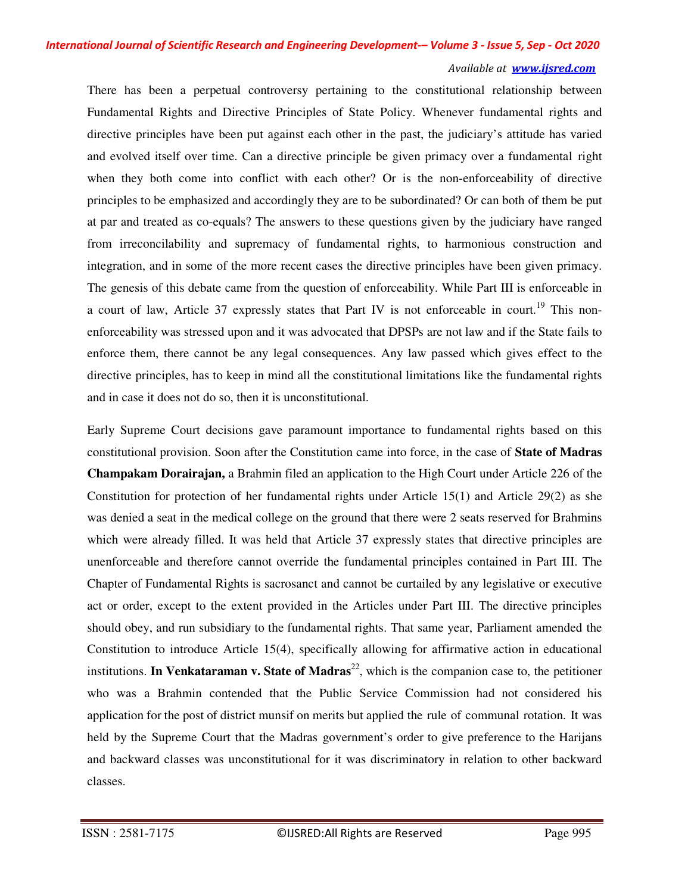There has been a perpetual controversy pertaining to the constitutional relationship between Fundamental Rights and Directive Principles of State Policy. Whenever fundamental rights and directive principles have been put against each other in the past, the judiciary's attitude has varied and evolved itself over time. Can a directive principle be given primacy over a fundamental right when they both come into conflict with each other? Or is the non-enforceability of directive principles to be emphasized and accordingly they are to be subordinated? Or can both of them be put at par and treated as co-equals? The answers to these questions given by the judiciary have ranged from irreconcilability and supremacy of fundamental rights, to harmonious construction and integration, and in some of the more recent cases the directive principles have been given primacy. The genesis of this debate came from the question of enforceability. While Part III is enforceable in a court of law, Article 37 expressly states that Part IV is not enforceable in court.<sup>19</sup> This nonenforceability was stressed upon and it was advocated that DPSPs are not law and if the State fails to enforce them, there cannot be any legal consequences. Any law passed which gives effect to the directive principles, has to keep in mind all the constitutional limitations like the fundamental rights and in case it does not do so, then it is unconstitutional.

Early Supreme Court decisions gave paramount importance to fundamental rights based on this constitutional provision. Soon after the Constitution came into force, in the case of **State of Madras Champakam Dorairajan,** a Brahmin filed an application to the High Court under Article 226 of the Constitution for protection of her fundamental rights under Article  $15(1)$  and Article 29(2) as she was denied a seat in the medical college on the ground that there were 2 seats reserved for Brahmins which were already filled. It was held that Article 37 expressly states that directive principles are unenforceable and therefore cannot override the fundamental principles contained in Part III. The Chapter of Fundamental Rights is sacrosanct and cannot be curtailed by any legislative or executive act or order, except to the extent provided in the Articles under Part III. The directive principles should obey, and run subsidiary to the fundamental rights. That same year, Parliament amended the Constitution to introduce Article 15(4), specifically allowing for affirmative action in educational institutions. **In Venkataraman v. State of Madras**<sup>22</sup>, which is the companion case to, the petitioner who was a Brahmin contended that the Public Service Commission had not considered his application for the post of district munsif on merits but applied the rule of communal rotation. It was held by the Supreme Court that the Madras government's order to give preference to the Harijans and backward classes was unconstitutional for it was discriminatory in relation to other backward classes.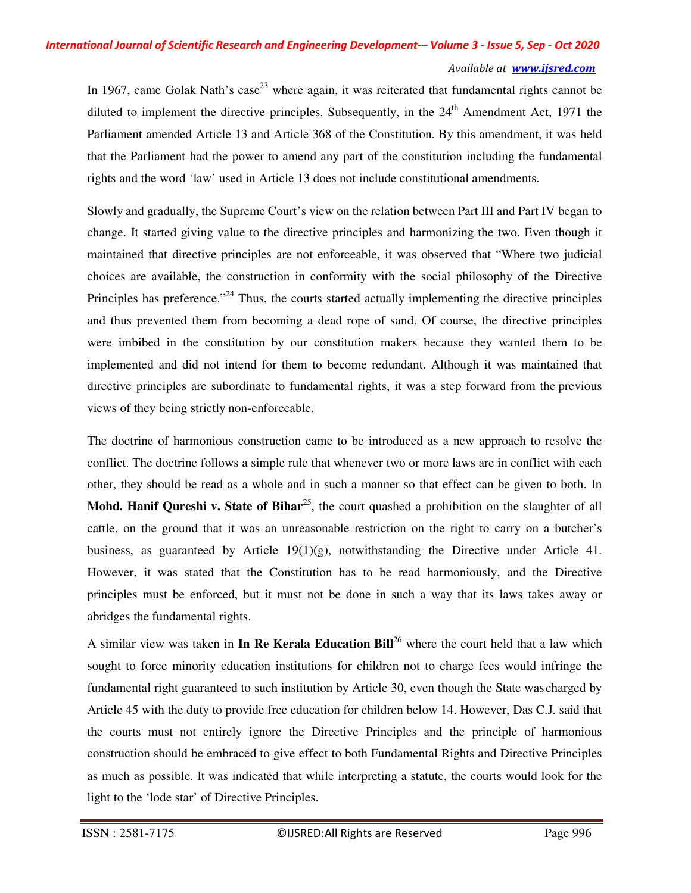In 1967, came Golak Nath's case<sup>23</sup> where again, it was reiterated that fundamental rights cannot be diluted to implement the directive principles. Subsequently, in the 24<sup>th</sup> Amendment Act, 1971 the Parliament amended Article 13 and Article 368 of the Constitution. By this amendment, it was held that the Parliament had the power to amend any part of the constitution including the fundamental rights and the word 'law' used in Article 13 does not include constitutional amendments.

Slowly and gradually, the Supreme Court's view on the relation between Part III and Part IV began to change. It started giving value to the directive principles and harmonizing the two. Even though it maintained that directive principles are not enforceable, it was observed that "Where two judicial choices are available, the construction in conformity with the social philosophy of the Directive Principles has preference.<sup> $24$ </sup> Thus, the courts started actually implementing the directive principles and thus prevented them from becoming a dead rope of sand. Of course, the directive principles were imbibed in the constitution by our constitution makers because they wanted them to be implemented and did not intend for them to become redundant. Although it was maintained that directive principles are subordinate to fundamental rights, it was a step forward from the previous views of they being strictly non-enforceable.

The doctrine of harmonious construction came to be introduced as a new approach to resolve the conflict. The doctrine follows a simple rule that whenever two or more laws are in conflict with each other, they should be read as a whole and in such a manner so that effect can be given to both. In **Mohd. Hanif Qureshi v. State of Bihar**<sup>25</sup>, the court quashed a prohibition on the slaughter of all cattle, on the ground that it was an unreasonable restriction on the right to carry on a butcher's business, as guaranteed by Article  $19(1)(g)$ , notwithstanding the Directive under Article 41. However, it was stated that the Constitution has to be read harmoniously, and the Directive principles must be enforced, but it must not be done in such a way that its laws takes away or abridges the fundamental rights.

A similar view was taken in **In Re Kerala Education Bill**<sup>26</sup> where the court held that a law which sought to force minority education institutions for children not to charge fees would infringe the fundamental right guaranteed to such institution by Article 30, even though the State was charged by Article 45 with the duty to provide free education for children below 14. However, Das C.J. said that the courts must not entirely ignore the Directive Principles and the principle of harmonious construction should be embraced to give effect to both Fundamental Rights and Directive Principles as much as possible. It was indicated that while interpreting a statute, the courts would look for the light to the 'lode star' of Directive Principles.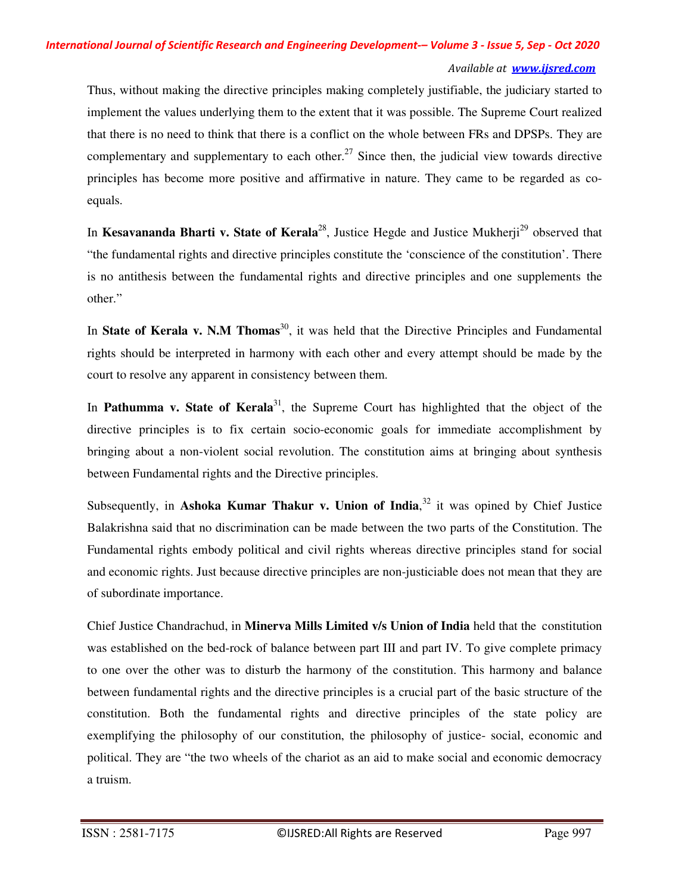Thus, without making the directive principles making completely justifiable, the judiciary started to implement the values underlying them to the extent that it was possible. The Supreme Court realized that there is no need to think that there is a conflict on the whole between FRs and DPSPs. They are complementary and supplementary to each other.<sup>27</sup> Since then, the judicial view towards directive principles has become more positive and affirmative in nature. They came to be regarded as coequals.

In **Kesavananda Bharti v. State of Kerala**<sup>28</sup>, Justice Hegde and Justice Mukherji<sup>29</sup> observed that "the fundamental rights and directive principles constitute the 'conscience of the constitution'. There is no antithesis between the fundamental rights and directive principles and one supplements the other."

In **State of Kerala v. N.M Thomas**<sup>30</sup>, it was held that the Directive Principles and Fundamental rights should be interpreted in harmony with each other and every attempt should be made by the court to resolve any apparent in consistency between them.

In **Pathumma v. State of Kerala**<sup>31</sup>, the Supreme Court has highlighted that the object of the directive principles is to fix certain socio-economic goals for immediate accomplishment by bringing about a non-violent social revolution. The constitution aims at bringing about synthesis between Fundamental rights and the Directive principles.

Subsequently, in Ashoka Kumar Thakur v. Union of India,<sup>32</sup> it was opined by Chief Justice Balakrishna said that no discrimination can be made between the two parts of the Constitution. The Fundamental rights embody political and civil rights whereas directive principles stand for social and economic rights. Just because directive principles are non-justiciable does not mean that they are of subordinate importance.

Chief Justice Chandrachud, in **Minerva Mills Limited v/s Union of India** held that the constitution was established on the bed-rock of balance between part III and part IV. To give complete primacy to one over the other was to disturb the harmony of the constitution. This harmony and balance between fundamental rights and the directive principles is a crucial part of the basic structure of the constitution. Both the fundamental rights and directive principles of the state policy are exemplifying the philosophy of our constitution, the philosophy of justice- social, economic and political. They are "the two wheels of the chariot as an aid to make social and economic democracy a truism.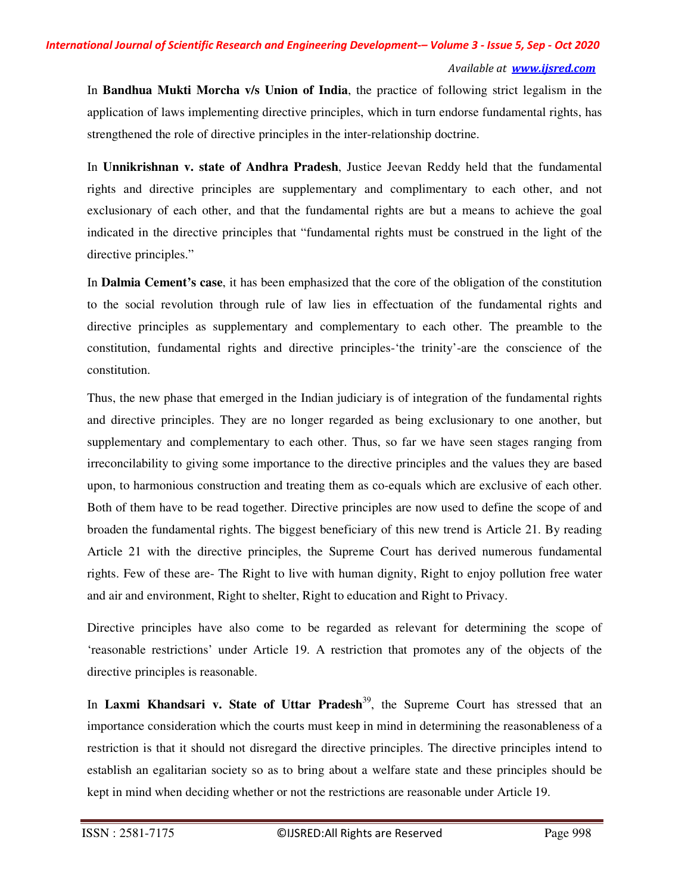In **Bandhua Mukti Morcha v/s Union of India**, the practice of following strict legalism in the application of laws implementing directive principles, which in turn endorse fundamental rights, has strengthened the role of directive principles in the inter-relationship doctrine.

In **Unnikrishnan v. state of Andhra Pradesh**, Justice Jeevan Reddy held that the fundamental rights and directive principles are supplementary and complimentary to each other, and not exclusionary of each other, and that the fundamental rights are but a means to achieve the goal indicated in the directive principles that "fundamental rights must be construed in the light of the directive principles."

In **Dalmia Cement's case**, it has been emphasized that the core of the obligation of the constitution to the social revolution through rule of law lies in effectuation of the fundamental rights and directive principles as supplementary and complementary to each other. The preamble to the constitution, fundamental rights and directive principles-'the trinity'-are the conscience of the constitution.

Thus, the new phase that emerged in the Indian judiciary is of integration of the fundamental rights and directive principles. They are no longer regarded as being exclusionary to one another, but supplementary and complementary to each other. Thus, so far we have seen stages ranging from irreconcilability to giving some importance to the directive principles and the values they are based upon, to harmonious construction and treating them as co-equals which are exclusive of each other. Both of them have to be read together. Directive principles are now used to define the scope of and broaden the fundamental rights. The biggest beneficiary of this new trend is Article 21. By reading Article 21 with the directive principles, the Supreme Court has derived numerous fundamental rights. Few of these are- The Right to live with human dignity, Right to enjoy pollution free water and air and environment, Right to shelter, Right to education and Right to Privacy.

Directive principles have also come to be regarded as relevant for determining the scope of 'reasonable restrictions' under Article 19. A restriction that promotes any of the objects of the directive principles is reasonable.

In **Laxmi Khandsari v. State of Uttar Pradesh**<sup>39</sup>, the Supreme Court has stressed that an importance consideration which the courts must keep in mind in determining the reasonableness of a restriction is that it should not disregard the directive principles. The directive principles intend to establish an egalitarian society so as to bring about a welfare state and these principles should be kept in mind when deciding whether or not the restrictions are reasonable under Article 19.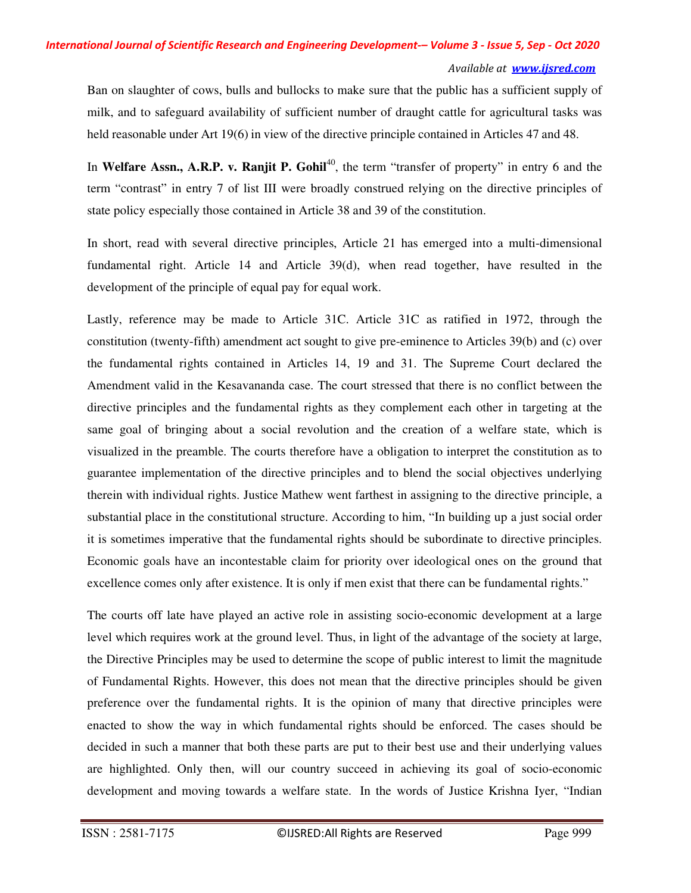#### *International Journal of Scientific Research and Engineering Development-– Volume 3 - Issue 5, Sep - Oct 2020*

#### *Available at www.ijsred.com*

Ban on slaughter of cows, bulls and bullocks to make sure that the public has a sufficient supply of milk, and to safeguard availability of sufficient number of draught cattle for agricultural tasks was held reasonable under Art 19(6) in view of the directive principle contained in Articles 47 and 48.

In **Welfare Assn., A.R.P. v. Ranjit P. Gohil<sup>40</sup>, the term "transfer of property" in entry 6 and the** term "contrast" in entry 7 of list III were broadly construed relying on the directive principles of state policy especially those contained in Article 38 and 39 of the constitution.

In short, read with several directive principles, Article 21 has emerged into a multi-dimensional fundamental right. Article 14 and Article 39(d), when read together, have resulted in the development of the principle of equal pay for equal work.

Lastly, reference may be made to Article 31C. Article 31C as ratified in 1972, through the constitution (twenty-fifth) amendment act sought to give pre-eminence to Articles 39(b) and (c) over the fundamental rights contained in Articles 14, 19 and 31. The Supreme Court declared the Amendment valid in the Kesavananda case. The court stressed that there is no conflict between the directive principles and the fundamental rights as they complement each other in targeting at the same goal of bringing about a social revolution and the creation of a welfare state, which is visualized in the preamble. The courts therefore have a obligation to interpret the constitution as to guarantee implementation of the directive principles and to blend the social objectives underlying therein with individual rights. Justice Mathew went farthest in assigning to the directive principle, a substantial place in the constitutional structure. According to him, "In building up a just social order it is sometimes imperative that the fundamental rights should be subordinate to directive principles. Economic goals have an incontestable claim for priority over ideological ones on the ground that excellence comes only after existence. It is only if men exist that there can be fundamental rights."

The courts off late have played an active role in assisting socio-economic development at a large level which requires work at the ground level. Thus, in light of the advantage of the society at large, the Directive Principles may be used to determine the scope of public interest to limit the magnitude of Fundamental Rights. However, this does not mean that the directive principles should be given preference over the fundamental rights. It is the opinion of many that directive principles were enacted to show the way in which fundamental rights should be enforced. The cases should be decided in such a manner that both these parts are put to their best use and their underlying values are highlighted. Only then, will our country succeed in achieving its goal of socio-economic development and moving towards a welfare state. In the words of Justice Krishna Iyer, "Indian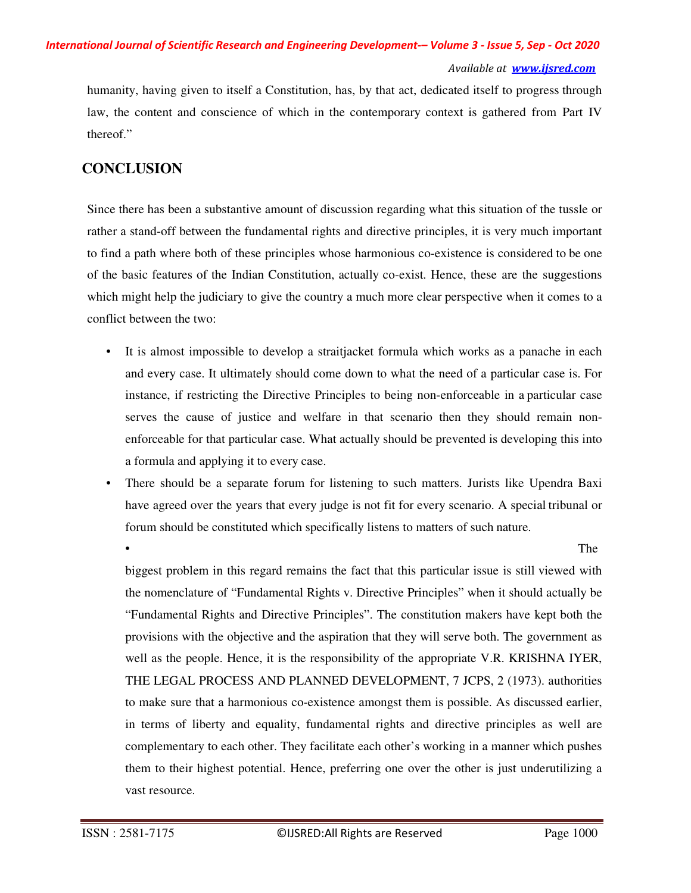humanity, having given to itself a Constitution, has, by that act, dedicated itself to progress through law, the content and conscience of which in the contemporary context is gathered from Part IV thereof."

### **CONCLUSION**

Since there has been a substantive amount of discussion regarding what this situation of the tussle or rather a stand-off between the fundamental rights and directive principles, it is very much important to find a path where both of these principles whose harmonious co-existence is considered to be one of the basic features of the Indian Constitution, actually co-exist. Hence, these are the suggestions which might help the judiciary to give the country a much more clear perspective when it comes to a conflict between the two:

- It is almost impossible to develop a straitjacket formula which works as a panache in each and every case. It ultimately should come down to what the need of a particular case is. For instance, if restricting the Directive Principles to being non-enforceable in a particular case serves the cause of justice and welfare in that scenario then they should remain nonenforceable for that particular case. What actually should be prevented is developing this into a formula and applying it to every case.
- There should be a separate forum for listening to such matters. Jurists like Upendra Baxi have agreed over the years that every judge is not fit for every scenario. A special tribunal or forum should be constituted which specifically listens to matters of such nature.

• The structure of  $\mathbb{R}^n$  and  $\mathbb{R}^n$  are  $\mathbb{R}^n$  and  $\mathbb{R}^n$  are  $\mathbb{R}^n$  and  $\mathbb{R}^n$  are  $\mathbb{R}^n$  and  $\mathbb{R}^n$  are  $\mathbb{R}^n$  and  $\mathbb{R}^n$  are  $\mathbb{R}^n$  and  $\mathbb{R}^n$  are  $\mathbb{R}^n$  and  $\mathbb{R}^$ 

biggest problem in this regard remains the fact that this particular issue is still viewed with the nomenclature of "Fundamental Rights v. Directive Principles" when it should actually be "Fundamental Rights and Directive Principles". The constitution makers have kept both the provisions with the objective and the aspiration that they will serve both. The government as well as the people. Hence, it is the responsibility of the appropriate V.R. KRISHNA IYER, THE LEGAL PROCESS AND PLANNED DEVELOPMENT, 7 JCPS, 2 (1973). authorities to make sure that a harmonious co-existence amongst them is possible. As discussed earlier, in terms of liberty and equality, fundamental rights and directive principles as well are complementary to each other. They facilitate each other's working in a manner which pushes them to their highest potential. Hence, preferring one over the other is just underutilizing a vast resource.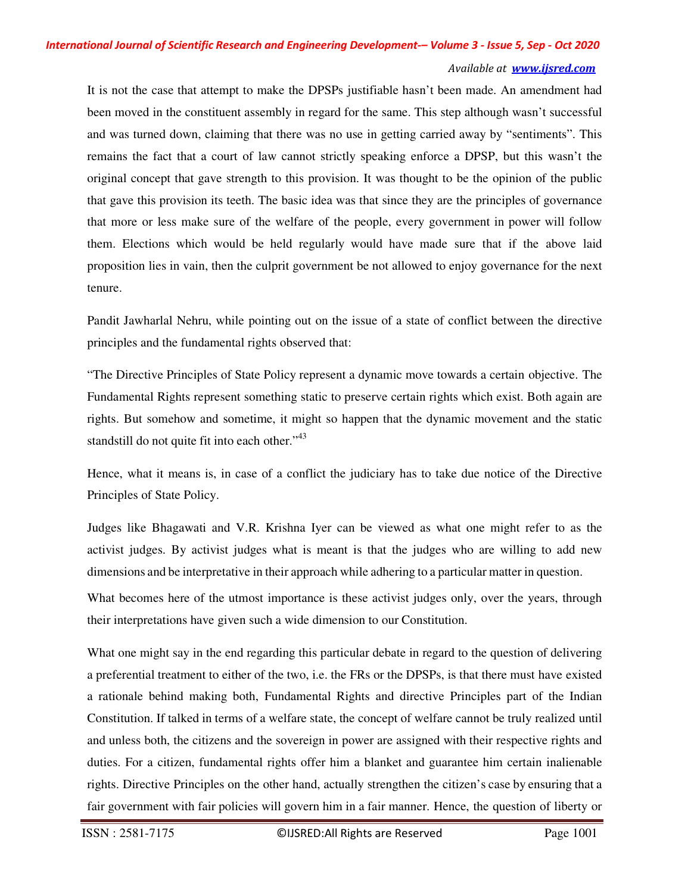It is not the case that attempt to make the DPSPs justifiable hasn't been made. An amendment had been moved in the constituent assembly in regard for the same. This step although wasn't successful and was turned down, claiming that there was no use in getting carried away by "sentiments". This remains the fact that a court of law cannot strictly speaking enforce a DPSP, but this wasn't the original concept that gave strength to this provision. It was thought to be the opinion of the public that gave this provision its teeth. The basic idea was that since they are the principles of governance that more or less make sure of the welfare of the people, every government in power will follow them. Elections which would be held regularly would have made sure that if the above laid proposition lies in vain, then the culprit government be not allowed to enjoy governance for the next tenure.

Pandit Jawharlal Nehru, while pointing out on the issue of a state of conflict between the directive principles and the fundamental rights observed that:

"The Directive Principles of State Policy represent a dynamic move towards a certain objective. The Fundamental Rights represent something static to preserve certain rights which exist. Both again are rights. But somehow and sometime, it might so happen that the dynamic movement and the static standstill do not quite fit into each other."<sup>43</sup>

Hence, what it means is, in case of a conflict the judiciary has to take due notice of the Directive Principles of State Policy.

Judges like Bhagawati and V.R. Krishna Iyer can be viewed as what one might refer to as the activist judges. By activist judges what is meant is that the judges who are willing to add new dimensions and be interpretative in their approach while adhering to a particular matter in question.

What becomes here of the utmost importance is these activist judges only, over the years, through their interpretations have given such a wide dimension to our Constitution.

What one might say in the end regarding this particular debate in regard to the question of delivering a preferential treatment to either of the two, i.e. the FRs or the DPSPs, is that there must have existed a rationale behind making both, Fundamental Rights and directive Principles part of the Indian Constitution. If talked in terms of a welfare state, the concept of welfare cannot be truly realized until and unless both, the citizens and the sovereign in power are assigned with their respective rights and duties. For a citizen, fundamental rights offer him a blanket and guarantee him certain inalienable rights. Directive Principles on the other hand, actually strengthen the citizen's case by ensuring that a fair government with fair policies will govern him in a fair manner. Hence, the question of liberty or